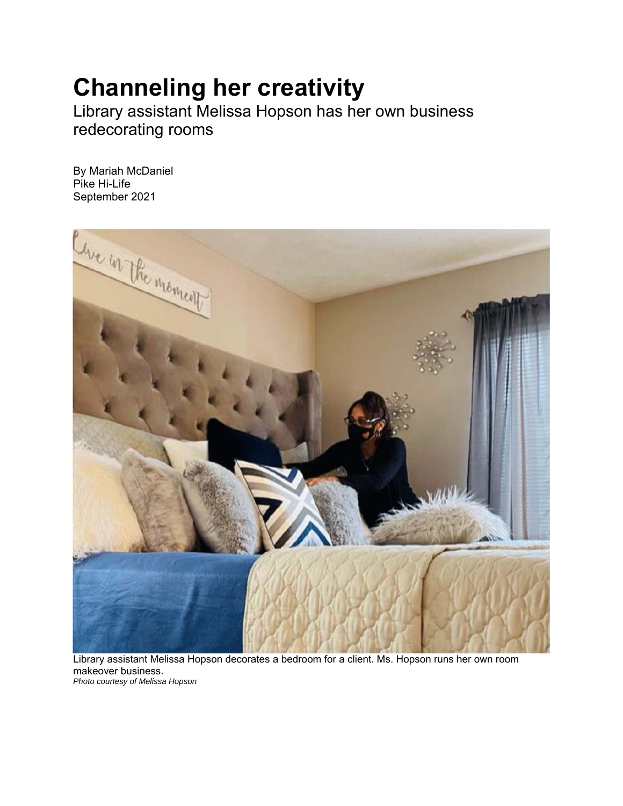## **Channeling her creativity**

Library assistant Melissa Hopson has her own business redecorating rooms

By Mariah McDaniel Pike Hi-Life September 2021



Library assistant Melissa Hopson decorates a bedroom for a client. Ms. Hopson runs her own room makeover business. *Photo courtesy of Melissa Hopson*